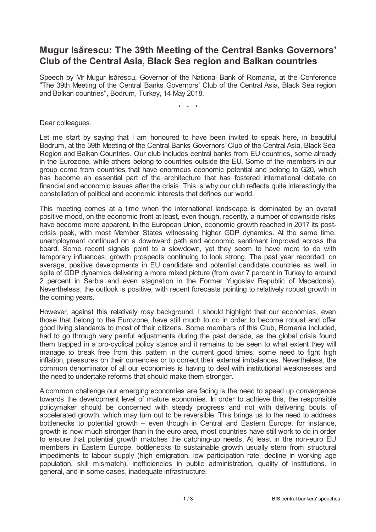## **Mugur Isărescu: The 39th Meeting of the Central Banks Governors' Club of the Central Asia, Black Sea region and Balkan countries**

Speech by Mr Mugur Isărescu, Governor of the National Bank of Romania, at the Conference "The 39th Meeting of the Central Banks Governors' Club of the Central Asia, Black Sea region and Balkan countries", Bodrum, Turkey, 14 May 2018.

\* \* \*

Dear colleagues,

Let me start by saying that I am honoured to have been invited to speak here, in beautiful Bodrum, at the 39th Meeting of the Central Banks Governors' Club of the Central Asia, Black Sea Region and Balkan Countries. Our club includes central banks from EU countries, some already in the Eurozone, while others belong to countries outside the EU. Some of the members in our group come from countries that have enormous economic potential and belong to G20, which has become an essential part of the architecture that has fostered international debate on financial and economic issues after the crisis. This is why our club reflects quite interestingly the constellation of political and economic interests that defines our world.

This meeting comes at a time when the international landscape is dominated by an overall positive mood, on the economic front at least, even though, recently, a number of downside risks have become more apparent. In the European Union, economic growth reached in 2017 its postcrisis peak, with most Member States witnessing higher GDP dynamics. At the same time, unemployment continued on a downward path and economic sentiment improved across the board. Some recent signals point to a slowdown, yet they seem to have more to do with temporary influences, growth prospects continuing to look strong. The past year recorded, on average, positive developments in EU candidate and potential candidate countries as well, in spite of GDP dynamics delivering a more mixed picture (from over 7 percent in Turkey to around 2 percent in Serbia and even stagnation in the Former Yugoslav Republic of Macedonia). Nevertheless, the outlook is positive, with recent forecasts pointing to relatively robust growth in the coming years.

However, against this relatively rosy background, I should highlight that our economies, even those that belong to the Eurozone, have still much to do in order to become robust and offer good living standards to most of their citizens. Some members of this Club, Romania included, had to go through very painful adjustments during the past decade, as the global crisis found them trapped in a pro-cyclical policy stance and it remains to be seen to what extent they will manage to break free from this pattern in the current good times; some need to fight high inflation, pressures on their currencies or to correct their external imbalances. Nevertheless, the common denominator of all our economies is having to deal with institutional weaknesses and the need to undertake reforms that should make them stronger.

A common challenge our emerging economies are facing is the need to speed up convergence towards the development level of mature economies. In order to achieve this, the responsible policymaker should be concerned with steady progress and not with delivering bouts of accelerated growth, which may turn out to be reversible. This brings us to the need to address bottlenecks to potential growth – even though in Central and Eastern Europe, for instance, growth is now much stronger than in the euro area, most countries have still work to do in order to ensure that potential growth matches the catching-up needs. At least in the non-euro EU members in Eastern Europe, bottlenecks to sustainable growth usually stem from structural impediments to labour supply (high emigration, low participation rate, decline in working age population, skill mismatch), inefficiencies in public administration, quality of institutions, in general, and in some cases, inadequate infrastructure.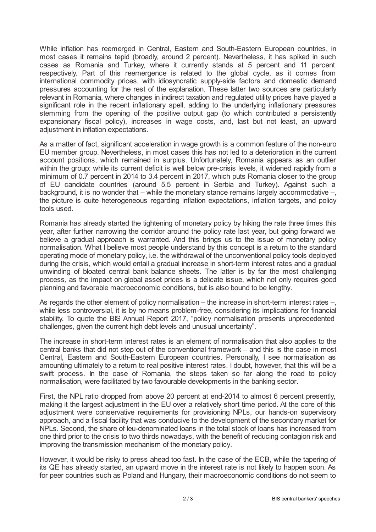While inflation has reemerged in Central, Eastern and South-Eastern European countries, in most cases it remains tepid (broadly, around 2 percent). Nevertheless, it has spiked in such cases as Romania and Turkey, where it currently stands at 5 percent and 11 percent respectively. Part of this reemergence is related to the global cycle, as it comes from international commodity prices, with idiosyncratic supply-side factors and domestic demand pressures accounting for the rest of the explanation. These latter two sources are particularly relevant in Romania, where changes in indirect taxation and regulated utility prices have played a significant role in the recent inflationary spell, adding to the underlying inflationary pressures stemming from the opening of the positive output gap (to which contributed a persistently expansionary fiscal policy), increases in wage costs, and, last but not least, an upward adjustment in inflation expectations.

As a matter of fact, significant acceleration in wage growth is a common feature of the non-euro EU member group. Nevertheless, in most cases this has not led to a deterioration in the current account positions, which remained in surplus. Unfortunately, Romania appears as an outlier within the group: while its current deficit is well below pre-crisis levels, it widened rapidly from a minimum of 0.7 percent in 2014 to 3.4 percent in 2017, which puts Romania closer to the group of EU candidate countries (around 5.5 percent in Serbia and Turkey). Against such a background, it is no wonder that – while the monetary stance remains largely accommodative –, the picture is quite heterogeneous regarding inflation expectations, inflation targets, and policy tools used.

Romania has already started the tightening of monetary policy by hiking the rate three times this year, after further narrowing the corridor around the policy rate last year, but going forward we believe a gradual approach is warranted. And this brings us to the issue of monetary policy normalisation. What I believe most people understand by this concept is a return to the standard operating mode of monetary policy, i.e. the withdrawal of the unconventional policy tools deployed during the crisis, which would entail a gradual increase in short-term interest rates and a gradual unwinding of bloated central bank balance sheets. The latter is by far the most challenging process, as the impact on global asset prices is a delicate issue, which not only requires good planning and favorable macroeconomic conditions, but is also bound to be lengthy.

As regards the other element of policy normalisation – the increase in short-term interest rates –, while less controversial, it is by no means problem-free, considering its implications for financial stability. To quote the BIS Annual Report 2017, "policy normalisation presents unprecedented challenges, given the current high debt levels and unusual uncertainty".

The increase in short-term interest rates is an element of normalisation that also applies to the central banks that did not step out of the conventional framework – and this is the case in most Central, Eastern and South-Eastern European countries. Personally, I see normalisation as amounting ultimately to a return to real positive interest rates. I doubt, however, that this will be a swift process. In the case of Romania, the steps taken so far along the road to policy normalisation, were facilitated by two favourable developments in the banking sector.

First, the NPL ratio dropped from above 20 percent at end-2014 to almost 6 percent presently, making it the largest adjustment in the EU over a relatively short time period. At the core of this adjustment were conservative requirements for provisioning NPLs, our hands-on supervisory approach, and a fiscal facility that was conducive to the development of the secondary market for NPLs. Second, the share of leu-denominated loans in the total stock of loans has increased from one third prior to the crisis to two thirds nowadays, with the benefit of reducing contagion risk and improving the transmission mechanism of the monetary policy.

However, it would be risky to press ahead too fast. In the case of the ECB, while the tapering of its QE has already started, an upward move in the interest rate is not likely to happen soon. As for peer countries such as Poland and Hungary, their macroeconomic conditions do not seem to